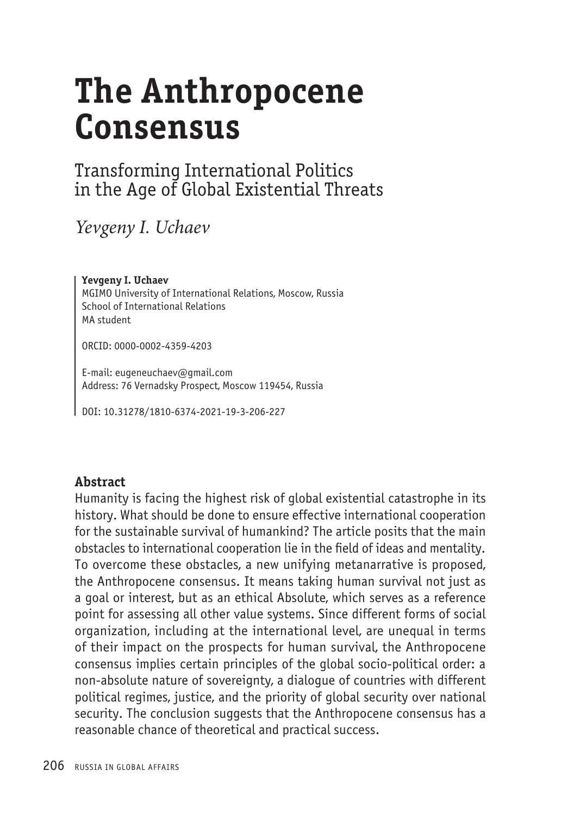# **The Anthropocene Consensus**

# Transforming International Politics in the Age of Global Existential Threats

*Yevgeny I. Uchaev* 

**Yevgeny I. Uchaev** MGIMO University of International Relations, Moscow, Russia School of International Relations MA student

ORCID: 0000-0002-4359-4203

E-mail: eugeneuchaev@gmail.com Address: 76 Vernadsky Prospect, Moscow 119454, Russia

DOI: 10.31278/1810-6374-2021-19-3-206-227

## **Abstract**

Humanity is facing the highest risk of global existential catastrophe in its history. What should be done to ensure effective international cooperation for the sustainable survival of humankind? The article posits that the main obstacles to international cooperation lie in the field of ideas and mentality. To overcome these obstacles, a new unifying metanarrative is proposed, the Anthropocene consensus. It means taking human survival not just as a goal or interest, but as an ethical Absolute, which serves as a reference point for assessing all other value systems. Since different forms of social organization, including at the international level, are unequal in terms of their impact on the prospects for human survival, the Anthropocene consensus implies certain principles of the global socio-political order: a non-absolute nature of sovereignty, a dialogue of countries with different political regimes, justice, and the priority of global security over national security. The conclusion suggests that the Anthropocene consensus has a reasonable chance of theoretical and practical success.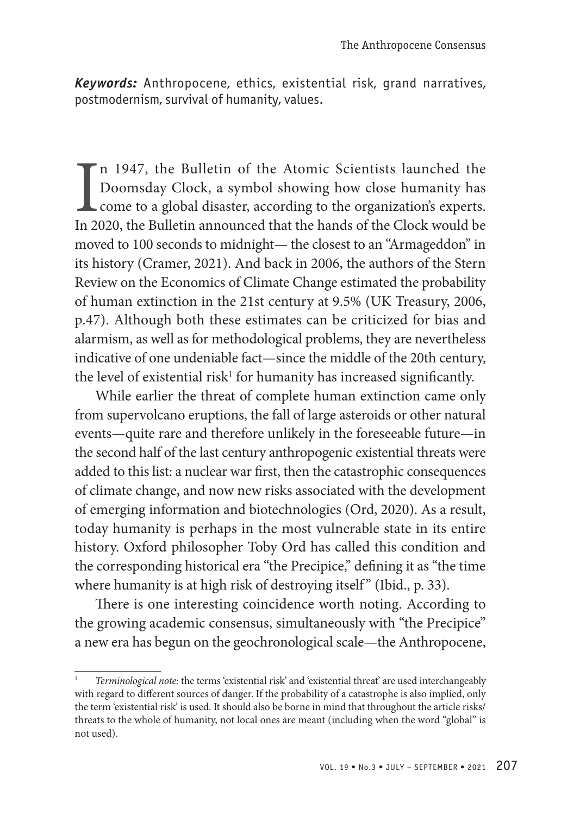*Keywords:* Anthropocene, ethics, existential risk, grand narratives, postmodernism, survival of humanity, values.

In 1947, the Bulletin of the Atomic Scientists launched the Doomsday Clock, a symbol showing how close humanity has come to a global disaster, according to the organization's experts. In 2020, the Bulletin announced that t n 1947, the Bulletin of the Atomic Scientists launched the Doomsday Clock, a symbol showing how close humanity has come to a global disaster, according to the organization's experts. moved to 100 seconds to midnight— the closest to an "Armageddon" in its history (Cramer, 2021). And back in 2006, the authors of the Stern Review on the Economics of Climate Change estimated the probability of human extinction in the 21st century at 9.5% (UK Treasury, 2006, p.47). Although both these estimates can be criticized for bias and alarmism, as well as for methodological problems, they are nevertheless indicative of one undeniable fact—since the middle of the 20th century, the level of existential risk $^1$  for humanity has increased significantly.

While earlier the threat of complete human extinction came only from supervolcano eruptions, the fall of large asteroids or other natural events—quite rare and therefore unlikely in the foreseeable future—in the second half of the last century anthropogenic existential threats were added to this list: a nuclear war first, then the catastrophic consequences of climate change, and now new risks associated with the development of emerging information and biotechnologies (Ord, 2020). As a result, today humanity is perhaps in the most vulnerable state in its entire history. Oxford philosopher Toby Ord has called this condition and the corresponding historical era "the Precipice," defining it as "the time where humanity is at high risk of destroying itself" (Ibid., p. 33).

There is one interesting coincidence worth noting. According to the growing academic consensus, simultaneously with "the Precipice" a new era has begun on the geochronological scale—the Anthropocene,

<sup>1</sup> *Terminological note:* the terms 'existential risk' and 'existential threat' are used interchangeably with regard to different sources of danger. If the probability of a catastrophe is also implied, only the term 'existential risk' is used. It should also be borne in mind that throughout the article risks/ threats to the whole of humanity, not local ones are meant (including when the word "global" is not used).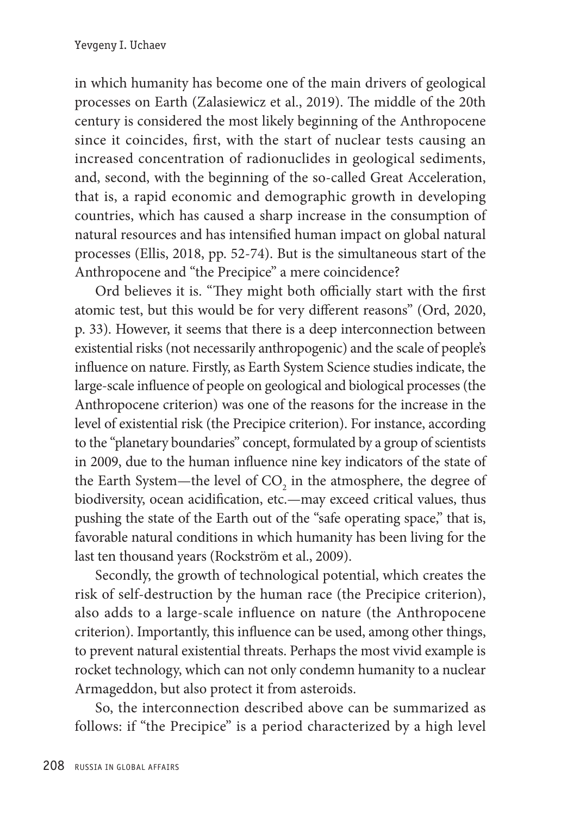in which humanity has become one of the main drivers of geological processes on Earth (Zalasiewicz et al., 2019). The middle of the 20th century is considered the most likely beginning of the Anthropocene since it coincides, first, with the start of nuclear tests causing an increased concentration of radionuclides in geological sediments, and, second, with the beginning of the so-called Great Acceleration, that is, a rapid economic and demographic growth in developing countries, which has caused a sharp increase in the consumption of natural resources and has intensified human impact on global natural processes (Ellis, 2018, pp. 52-74). But is the simultaneous start of the Anthropocene and "the Precipice" a mere coincidence?

Ord believes it is. "They might both officially start with the first atomic test, but this would be for very different reasons" (Ord, 2020, p. 33). However, it seems that there is a deep interconnection between existential risks (not necessarily anthropogenic) and the scale of people's influence on nature. Firstly, as Earth System Science studies indicate, the large-scale influence of people on geological and biological processes (the Anthropocene criterion) was one of the reasons for the increase in the level of existential risk (the Precipice criterion). For instance, according to the "planetary boundaries" concept, formulated by a group of scientists in 2009, due to the human influence nine key indicators of the state of the Earth System—the level of  $\mathrm{CO}_2$  in the atmosphere, the degree of biodiversity, ocean acidification, etc.—may exceed critical values, thus pushing the state of the Earth out of the "safe operating space," that is, favorable natural conditions in which humanity has been living for the last ten thousand years (Rockström et al., 2009).

Secondly, the growth of technological potential, which creates the risk of self-destruction by the human race (the Precipice criterion), also adds to a large-scale influence on nature (the Anthropocene criterion). Importantly, this influence can be used, among other things, to prevent natural existential threats. Perhaps the most vivid example is rocket technology, which can not only condemn humanity to a nuclear Armageddon, but also protect it from asteroids.

So, the interconnection described above can be summarized as follows: if "the Precipice" is a period characterized by a high level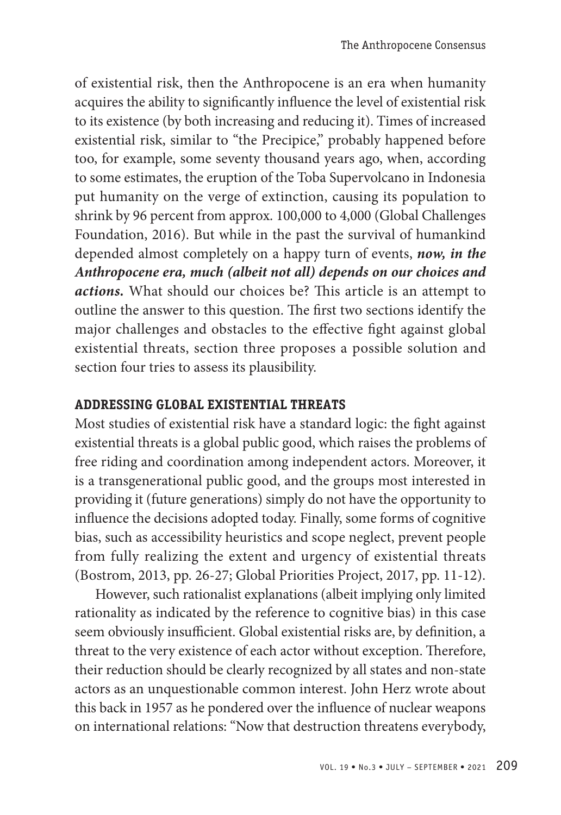of existential risk, then the Anthropocene is an era when humanity acquires the ability to significantly influence the level of existential risk to its existence (by both increasing and reducing it). Times of increased existential risk, similar to "the Precipice," probably happened before too, for example, some seventy thousand years ago, when, according to some estimates, the eruption of the Toba Supervolcano in Indonesia put humanity on the verge of extinction, causing its population to shrink by 96 percent from approx. 100,000 to 4,000 (Global Challenges Foundation, 2016). But while in the past the survival of humankind depended almost completely on a happy turn of events, *now, in the Anthropocene era, much (albeit not all) depends on our choices and actions.* What should our choices be? This article is an attempt to outline the answer to this question. The first two sections identify the major challenges and obstacles to the effective fight against global existential threats, section three proposes a possible solution and section four tries to assess its plausibility.

# **Addressing global existential threats**

Most studies of existential risk have a standard logic: the fight against existential threats is a global public good, which raises the problems of free riding and coordination among independent actors. Moreover, it is a transgenerational public good, and the groups most interested in providing it (future generations) simply do not have the opportunity to influence the decisions adopted today. Finally, some forms of cognitive bias, such as accessibility heuristics and scope neglect, prevent people from fully realizing the extent and urgency of existential threats (Bostrom, 2013, pp. 26-27; Global Priorities Project, 2017, pp. 11-12).

However, such rationalist explanations (albeit implying only limited rationality as indicated by the reference to cognitive bias) in this case seem obviously insufficient. Global existential risks are, by definition, a threat to the very existence of each actor without exception. Therefore, their reduction should be clearly recognized by all states and non-state actors as an unquestionable common interest. John Herz wrote about this back in 1957 as he pondered over the influence of nuclear weapons on international relations: "Now that destruction threatens everybody,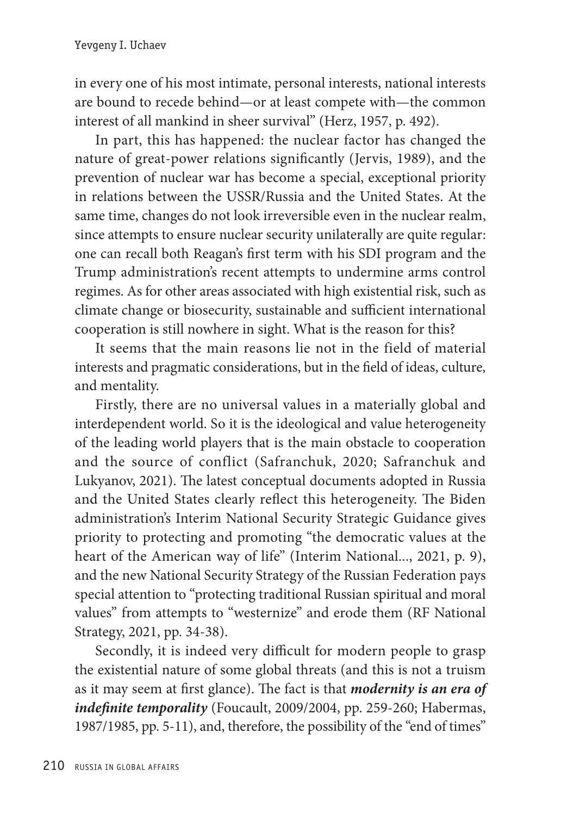in every one of his most intimate, personal interests, national interests are bound to recede behind—or at least compete with—the common interest of all mankind in sheer survival" (Herz, 1957, p. 492).

In part, this has happened: the nuclear factor has changed the nature of great-power relations significantly (Jervis, 1989), and the prevention of nuclear war has become a special, exceptional priority in relations between the USSR/Russia and the United States. At the same time, changes do not look irreversible even in the nuclear realm, since attempts to ensure nuclear security unilaterally are quite regular: one can recall both Reagan's first term with his SDI program and the Trump administration's recent attempts to undermine arms control regimes. As for other areas associated with high existential risk, such as climate change or biosecurity, sustainable and sufficient international cooperation is still nowhere in sight. What is the reason for this?

It seems that the main reasons lie not in the field of material interests and pragmatic considerations, but in the field of ideas, culture, and mentality.

Firstly, there are no universal values in a materially global and interdependent world. So it is the ideological and value heterogeneity of the leading world players that is the main obstacle to cooperation and the source of conflict (Safranchuk, 2020; Safranchuk and Lukyanov, 2021). The latest conceptual documents adopted in Russia and the United States clearly reflect this heterogeneity. The Biden administration's Interim National Security Strategic Guidance gives priority to protecting and promoting "the democratic values at the heart of the American way of life" (Interim National..., 2021, p. 9), and the new National Security Strategy of the Russian Federation pays special attention to "protecting traditional Russian spiritual and moral values" from attempts to "westernize" and erode them (RF National Strategy, 2021, pp. 34-38).

Secondly, it is indeed very difficult for modern people to grasp the existential nature of some global threats (and this is not a truism as it may seem at first glance). The fact is that *modernity is an era of indefinite temporality* (Foucault, 2009/2004, pp. 259-260; Habermas, 1987/1985, pp. 5-11), and, therefore, the possibility of the "end of times"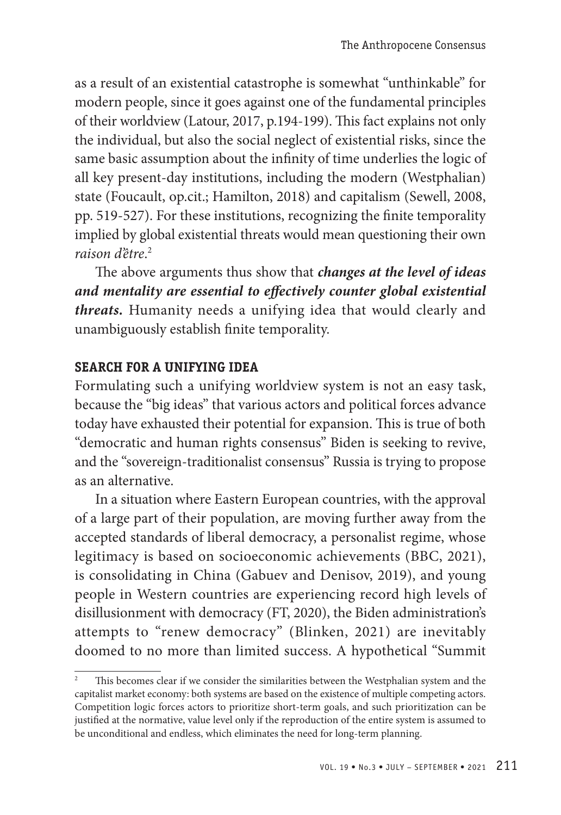as a result of an existential catastrophe is somewhat "unthinkable" for modern people, since it goes against one of the fundamental principles of their worldview (Latour, 2017, p.194-199). This fact explains not only the individual, but also the social neglect of existential risks, since the same basic assumption about the infinity of time underlies the logic of all key present-day institutions, including the modern (Westphalian) state (Foucault, op.cit.; Hamilton, 2018) and capitalism (Sewell, 2008, pp. 519-527). For these institutions, recognizing the finite temporality implied by global existential threats would mean questioning their own *raison d'être*. 2

The above arguments thus show that *changes at the level of ideas and mentality are essential to effectively counter global existential threats.* Humanity needs a unifying idea that would clearly and unambiguously establish finite temporality.

# **SEARCH FOR A UNIFYING IDEA**

Formulating such a unifying worldview system is not an easy task, because the "big ideas" that various actors and political forces advance today have exhausted their potential for expansion. This is true of both "democratic and human rights consensus" Biden is seeking to revive, and the "sovereign-traditionalist consensus" Russia is trying to propose as an alternative.

In a situation where Eastern European countries, with the approval of a large part of their population, are moving further away from the accepted standards of liberal democracy, a personalist regime, whose legitimacy is based on socioeconomic achievements (BBC, 2021), is consolidating in China (Gabuev and Denisov, 2019), and young people in Western countries are experiencing record high levels of disillusionment with democracy (FT, 2020), the Biden administration's attempts to "renew democracy" (Blinken, 2021) are inevitably doomed to no more than limited success. A hypothetical "Summit

<sup>2</sup> This becomes clear if we consider the similarities between the Westphalian system and the capitalist market economy: both systems are based on the existence of multiple competing actors. Competition logic forces actors to prioritize short-term goals, and such prioritization can be justified at the normative, value level only if the reproduction of the entire system is assumed to be unconditional and endless, which eliminates the need for long-term planning.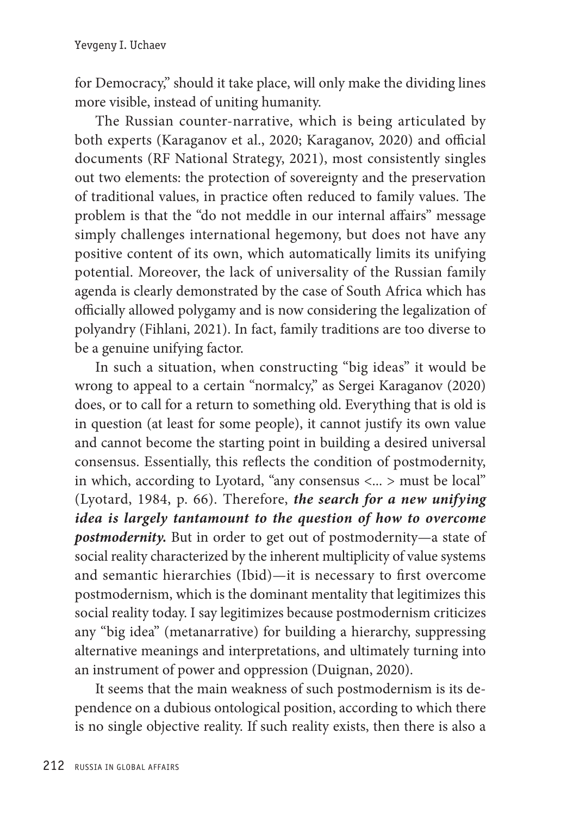for Democracy," should it take place, will only make the dividing lines more visible, instead of uniting humanity.

The Russian counter-narrative, which is being articulated by both experts (Karaganov et al., 2020; Karaganov, 2020) and official documents (RF National Strategy, 2021), most consistently singles out two elements: the protection of sovereignty and the preservation of traditional values, in practice often reduced to family values. The problem is that the "do not meddle in our internal affairs" message simply challenges international hegemony, but does not have any positive content of its own, which automatically limits its unifying potential. Moreover, the lack of universality of the Russian family agenda is clearly demonstrated by the case of South Africa which has officially allowed polygamy and is now considering the legalization of polyandry (Fihlani, 2021). In fact, family traditions are too diverse to be a genuine unifying factor.

In such a situation, when constructing "big ideas" it would be wrong to appeal to a certain "normalcy," as Sergei Karaganov (2020) does, or to call for a return to something old. Everything that is old is in question (at least for some people), it cannot justify its own value and cannot become the starting point in building a desired universal consensus. Essentially, this reflects the condition of postmodernity, in which, according to Lyotard, "any consensus <... > must be local" (Lyotard, 1984, p. 66). Therefore, *the search for a new unifying idea is largely tantamount to the question of how to overcome postmodernity.* But in order to get out of postmodernity—a state of social reality characterized by the inherent multiplicity of value systems and semantic hierarchies (Ibid)—it is necessary to first overcome postmodernism, which is the dominant mentality that legitimizes this social reality today. I say legitimizes because postmodernism criticizes any "big idea" (metanarrative) for building a hierarchy, suppressing alternative meanings and interpretations, and ultimately turning into an instrument of power and oppression (Duignan, 2020).

It seems that the main weakness of such postmodernism is its dependence on a dubious ontological position, according to which there is no single objective reality. If such reality exists, then there is also a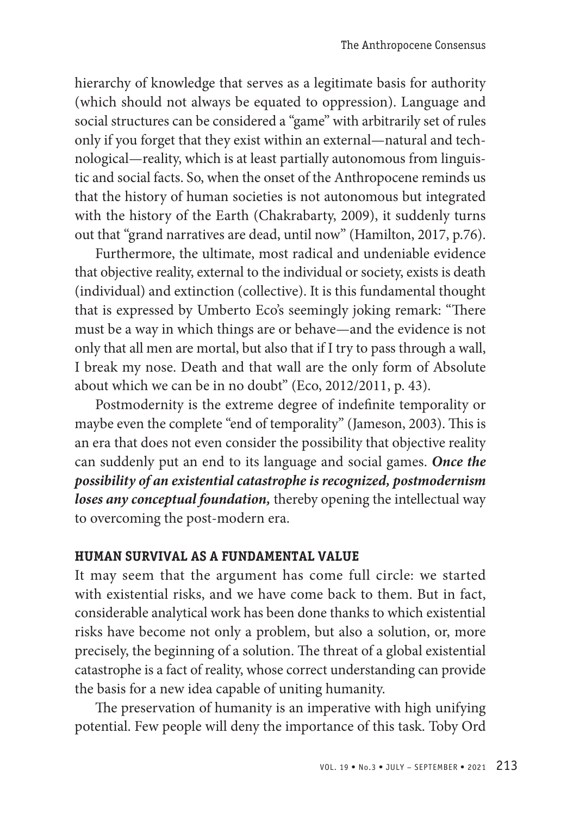hierarchy of knowledge that serves as a legitimate basis for authority (which should not always be equated to oppression). Language and social structures can be considered a "game" with arbitrarily set of rules only if you forget that they exist within an external—natural and technological—reality, which is at least partially autonomous from linguistic and social facts. So, when the onset of the Anthropocene reminds us that the history of human societies is not autonomous but integrated with the history of the Earth (Chakrabarty, 2009), it suddenly turns out that "grand narratives are dead, until now" (Hamilton, 2017, p.76).

Furthermore, the ultimate, most radical and undeniable evidence that objective reality, external to the individual or society, exists is death (individual) and extinction (collective). It is this fundamental thought that is expressed by Umberto Eco's seemingly joking remark: "There must be a way in which things are or behave—and the evidence is not only that all men are mortal, but also that if I try to pass through a wall, I break my nose. Death and that wall are the only form of Absolute about which we can be in no doubt" (Eco, 2012/2011, p. 43).

Postmodernity is the extreme degree of indefinite temporality or maybe even the complete "end of temporality" (Jameson, 2003). This is an era that does not even consider the possibility that objective reality can suddenly put an end to its language and social games. *Once the possibility of an existential catastrophe is recognized, postmodernism loses any conceptual foundation,* thereby opening the intellectual way to overcoming the post-modern era.

#### **human survival as a fundamental value**

It may seem that the argument has come full circle: we started with existential risks, and we have come back to them. But in fact, considerable analytical work has been done thanks to which existential risks have become not only a problem, but also a solution, or, more precisely, the beginning of a solution. The threat of a global existential catastrophe is a fact of reality, whose correct understanding can provide the basis for a new idea capable of uniting humanity.

The preservation of humanity is an imperative with high unifying potential. Few people will deny the importance of this task. Toby Ord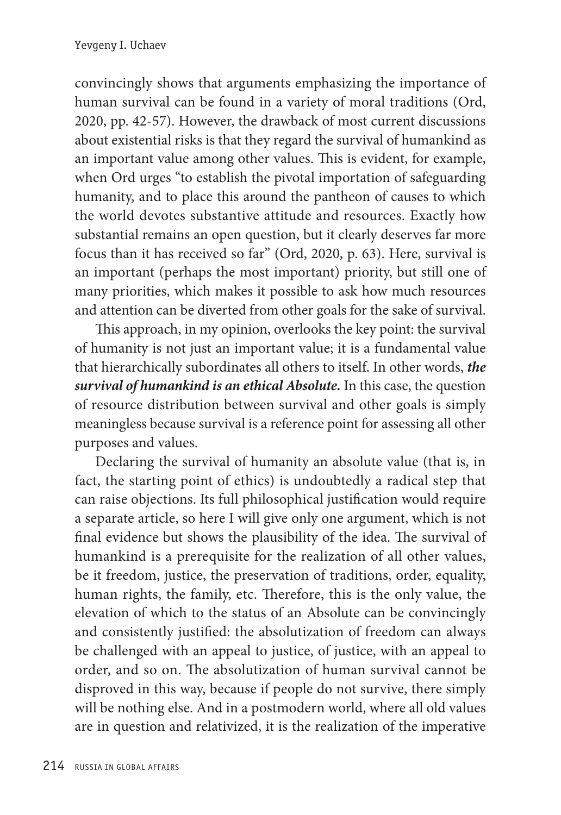convincingly shows that arguments emphasizing the importance of human survival can be found in a variety of moral traditions (Ord, 2020, pp. 42-57). However, the drawback of most current discussions about existential risks is that they regard the survival of humankind as an important value among other values. This is evident, for example, when Ord urges "to establish the pivotal importation of safeguarding humanity, and to place this around the pantheon of causes to which the world devotes substantive attitude and resources. Exactly how substantial remains an open question, but it clearly deserves far more focus than it has received so far" (Ord, 2020, p. 63). Here, survival is an important (perhaps the most important) priority, but still one of many priorities, which makes it possible to ask how much resources and attention can be diverted from other goals for the sake of survival.

This approach, in my opinion, overlooks the key point: the survival of humanity is not just an important value; it is a fundamental value that hierarchically subordinates all others to itself. In other words, *the survival of humankind is an ethical Absolute.* In this case, the question of resource distribution between survival and other goals is simply meaningless because survival is a reference point for assessing all other purposes and values.

Declaring the survival of humanity an absolute value (that is, in fact, the starting point of ethics) is undoubtedly a radical step that can raise objections. Its full philosophical justification would require a separate article, so here I will give only one argument, which is not final evidence but shows the plausibility of the idea. The survival of humankind is a prerequisite for the realization of all other values, be it freedom, justice, the preservation of traditions, order, equality, human rights, the family, etc. Therefore, this is the only value, the elevation of which to the status of an Absolute can be convincingly and consistently justified: the absolutization of freedom can always be challenged with an appeal to justice, of justice, with an appeal to order, and so on. The absolutization of human survival cannot be disproved in this way, because if people do not survive, there simply will be nothing else. And in a postmodern world, where all old values are in question and relativized, it is the realization of the imperative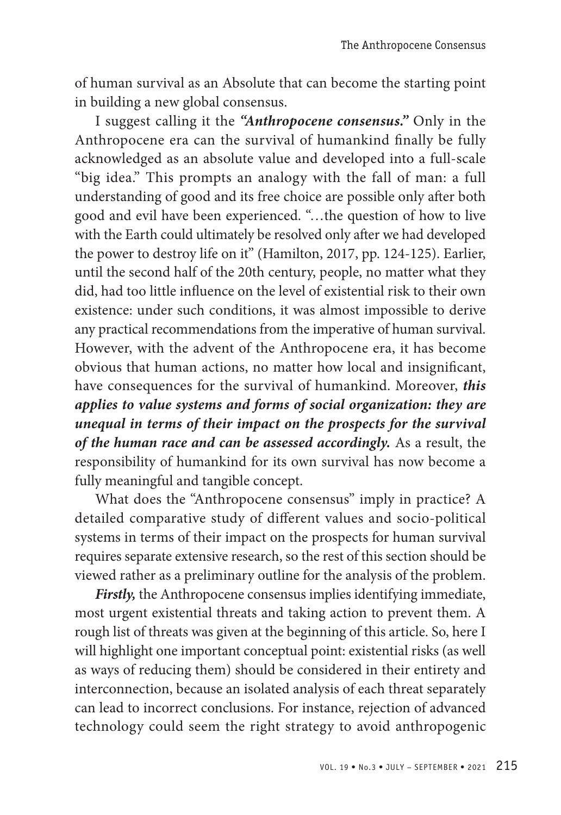of human survival as an Absolute that can become the starting point in building a new global consensus.

I suggest calling it the *"Anthropocene consensus."* Only in the Anthropocene era can the survival of humankind finally be fully acknowledged as an absolute value and developed into a full-scale "big idea." This prompts an analogy with the fall of man: a full understanding of good and its free choice are possible only after both good and evil have been experienced. "…the question of how to live with the Earth could ultimately be resolved only after we had developed the power to destroy life on it" (Hamilton, 2017, pp. 124-125). Earlier, until the second half of the 20th century, people, no matter what they did, had too little influence on the level of existential risk to their own existence: under such conditions, it was almost impossible to derive any practical recommendations from the imperative of human survival. However, with the advent of the Anthropocene era, it has become obvious that human actions, no matter how local and insignificant, have consequences for the survival of humankind. Moreover, *this applies to value systems and forms of social organization: they are unequal in terms of their impact on the prospects for the survival of the human race and can be assessed accordingly.* As a result, the responsibility of humankind for its own survival has now become a fully meaningful and tangible concept.

What does the "Anthropocene consensus" imply in practice? A detailed comparative study of different values and socio-political systems in terms of their impact on the prospects for human survival requires separate extensive research, so the rest of this section should be viewed rather as a preliminary outline for the analysis of the problem.

*Firstly,* the Anthropocene consensus implies identifying immediate, most urgent existential threats and taking action to prevent them. A rough list of threats was given at the beginning of this article. So, here I will highlight one important conceptual point: existential risks (as well as ways of reducing them) should be considered in their entirety and interconnection, because an isolated analysis of each threat separately can lead to incorrect conclusions. For instance, rejection of advanced technology could seem the right strategy to avoid anthropogenic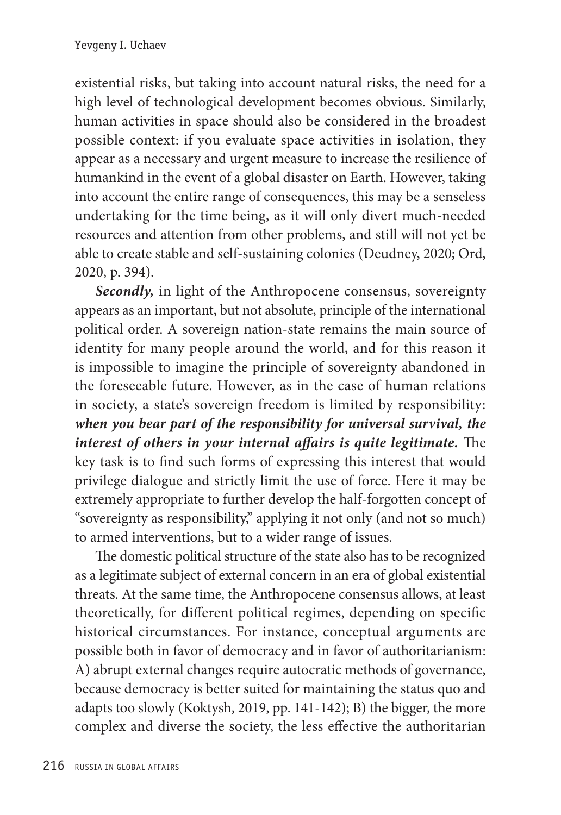existential risks, but taking into account natural risks, the need for a high level of technological development becomes obvious. Similarly, human activities in space should also be considered in the broadest possible context: if you evaluate space activities in isolation, they appear as a necessary and urgent measure to increase the resilience of humankind in the event of a global disaster on Earth. However, taking into account the entire range of consequences, this may be a senseless undertaking for the time being, as it will only divert much-needed resources and attention from other problems, and still will not yet be able to create stable and self-sustaining colonies (Deudney, 2020; Ord, 2020, p. 394).

*Secondly,* in light of the Anthropocene consensus, sovereignty appears as an important, but not absolute, principle of the international political order. A sovereign nation-state remains the main source of identity for many people around the world, and for this reason it is impossible to imagine the principle of sovereignty abandoned in the foreseeable future. However, as in the case of human relations in society, a state's sovereign freedom is limited by responsibility: *when you bear part of the responsibility for universal survival, the interest of others in your internal affairs is quite legitimate.* The key task is to find such forms of expressing this interest that would privilege dialogue and strictly limit the use of force. Here it may be extremely appropriate to further develop the half-forgotten concept of "sovereignty as responsibility," applying it not only (and not so much) to armed interventions, but to a wider range of issues.

The domestic political structure of the state also has to be recognized as a legitimate subject of external concern in an era of global existential threats. At the same time, the Anthropocene consensus allows, at least theoretically, for different political regimes, depending on specific historical circumstances. For instance, conceptual arguments are possible both in favor of democracy and in favor of authoritarianism: A) abrupt external changes require autocratic methods of governance, because democracy is better suited for maintaining the status quo and adapts too slowly (Koktysh, 2019, pp. 141-142); B) the bigger, the more complex and diverse the society, the less effective the authoritarian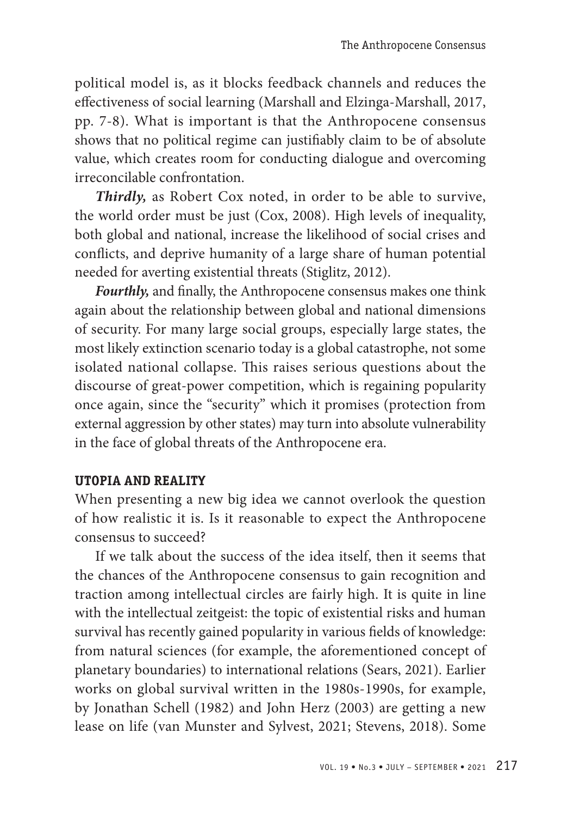political model is, as it blocks feedback channels and reduces the effectiveness of social learning (Marshall and Elzinga-Marshall, 2017, pp. 7-8). What is important is that the Anthropocene consensus shows that no political regime can justifiably claim to be of absolute value, which creates room for conducting dialogue and overcoming irreconcilable confrontation.

*Thirdly,* as Robert Cox noted, in order to be able to survive, the world order must be just (Cox, 2008). High levels of inequality, both global and national, increase the likelihood of social crises and conflicts, and deprive humanity of a large share of human potential needed for averting existential threats (Stiglitz, 2012).

*Fourthly,* and finally, the Anthropocene consensus makes one think again about the relationship between global and national dimensions of security. For many large social groups, especially large states, the most likely extinction scenario today is a global catastrophe, not some isolated national collapse. This raises serious questions about the discourse of great-power competition, which is regaining popularity once again, since the "security" which it promises (protection from external aggression by other states) may turn into absolute vulnerability in the face of global threats of the Anthropocene era.

## **UTOPIA AND REALITY**

When presenting a new big idea we cannot overlook the question of how realistic it is. Is it reasonable to expect the Anthropocene consensus to succeed?

If we talk about the success of the idea itself, then it seems that the chances of the Anthropocene consensus to gain recognition and traction among intellectual circles are fairly high. It is quite in line with the intellectual zeitgeist: the topic of existential risks and human survival has recently gained popularity in various fields of knowledge: from natural sciences (for example, the aforementioned concept of planetary boundaries) to international relations (Sears, 2021). Earlier works on global survival written in the 1980s-1990s, for example, by Jonathan Schell (1982) and John Herz (2003) are getting a new lease on life (van Munster and Sylvest, 2021; Stevens, 2018). Some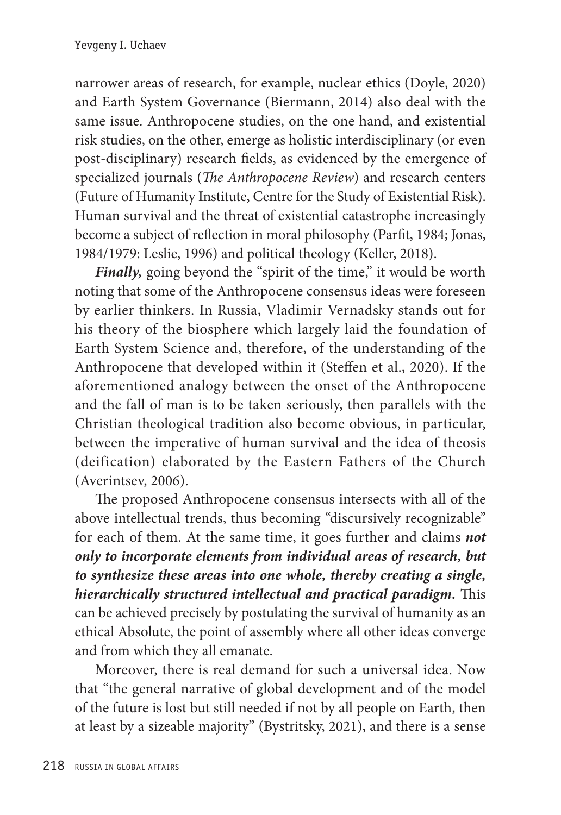narrower areas of research, for example, nuclear ethics (Doyle, 2020) and Earth System Governance (Biermann, 2014) also deal with the same issue. Anthropocene studies, on the one hand, and existential risk studies, on the other, emerge as holistic interdisciplinary (or even post-disciplinary) research fields, as evidenced by the emergence of specialized journals (*The Anthropocene Review*) and research centers (Future of Humanity Institute, Centre for the Study of Existential Risk). Human survival and the threat of existential catastrophe increasingly become a subject of reflection in moral philosophy (Parfit, 1984; Jonas, 1984/1979: Leslie, 1996) and political theology (Keller, 2018).

*Finally*, going beyond the "spirit of the time," it would be worth noting that some of the Anthropocene consensus ideas were foreseen by earlier thinkers. In Russia, Vladimir Vernadsky stands out for his theory of the biosphere which largely laid the foundation of Earth System Science and, therefore, of the understanding of the Anthropocene that developed within it (Steffen et al., 2020). If the aforementioned analogy between the onset of the Anthropocene and the fall of man is to be taken seriously, then parallels with the Christian theological tradition also become obvious, in particular, between the imperative of human survival and the idea of theosis (deification) elaborated by the Eastern Fathers of the Church (Averintsev, 2006).

The proposed Anthropocene consensus intersects with all of the above intellectual trends, thus becoming "discursively recognizable" for each of them. At the same time, it goes further and claims *not only to incorporate elements from individual areas of research, but to synthesize these areas into one whole, thereby creating a single, hierarchically structured intellectual and practical paradigm.* This can be achieved precisely by postulating the survival of humanity as an ethical Absolute, the point of assembly where all other ideas converge and from which they all emanate.

Moreover, there is real demand for such a universal idea. Now that "the general narrative of global development and of the model of the future is lost but still needed if not by all people on Earth, then at least by a sizeable majority" (Bystritsky, 2021), and there is a sense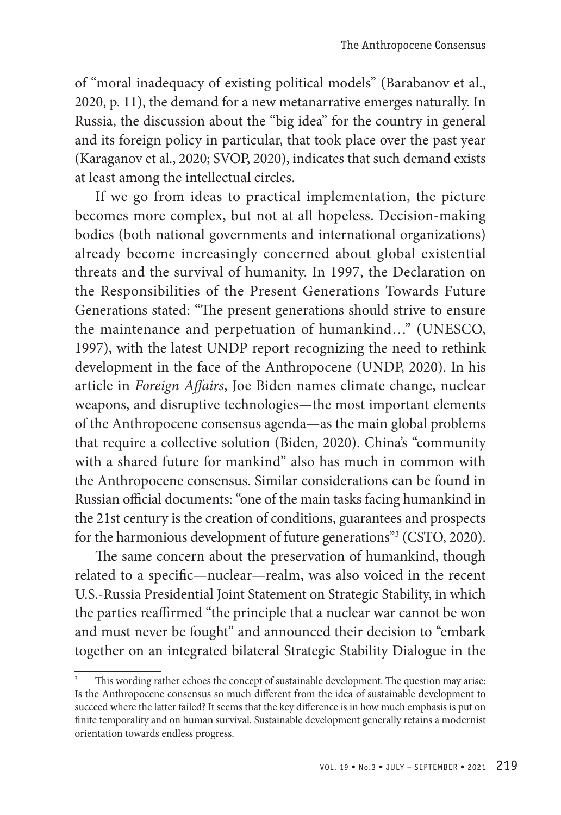of "moral inadequacy of existing political models" (Barabanov et al., 2020, p. 11), the demand for a new metanarrative emerges naturally. In Russia, the discussion about the "big idea" for the country in general and its foreign policy in particular, that took place over the past year (Karaganov et al., 2020; SVOP, 2020), indicates that such demand exists at least among the intellectual circles.

If we go from ideas to practical implementation, the picture becomes more complex, but not at all hopeless. Decision-making bodies (both national governments and international organizations) already become increasingly concerned about global existential threats and the survival of humanity. In 1997, the Declaration on the Responsibilities of the Present Generations Towards Future Generations stated: "The present generations should strive to ensure the maintenance and perpetuation of humankind…" (UNESCO, 1997), with the latest UNDP report recognizing the need to rethink development in the face of the Anthropocene (UNDP, 2020). In his article in *Foreign Affairs*, Joe Biden names climate change, nuclear weapons, and disruptive technologies—the most important elements of the Anthropocene consensus agenda—as the main global problems that require a collective solution (Biden, 2020). China's "community with a shared future for mankind" also has much in common with the Anthropocene consensus. Similar considerations can be found in Russian official documents: "one of the main tasks facing humankind in the 21st century is the creation of conditions, guarantees and prospects for the harmonious development of future generations"<sup>3</sup> (CSTO, 2020).

The same concern about the preservation of humankind, though related to a specific—nuclear—realm, was also voiced in the recent U.S.-Russia Presidential Joint Statement on Strategic Stability, in which the parties reaffirmed "the principle that a nuclear war cannot be won and must never be fought" and announced their decision to "embark together on an integrated bilateral Strategic Stability Dialogue in the

This wording rather echoes the concept of sustainable development. The question may arise: Is the Anthropocene consensus so much different from the idea of sustainable development to succeed where the latter failed? It seems that the key difference is in how much emphasis is put on finite temporality and on human survival. Sustainable development generally retains a modernist orientation towards endless progress.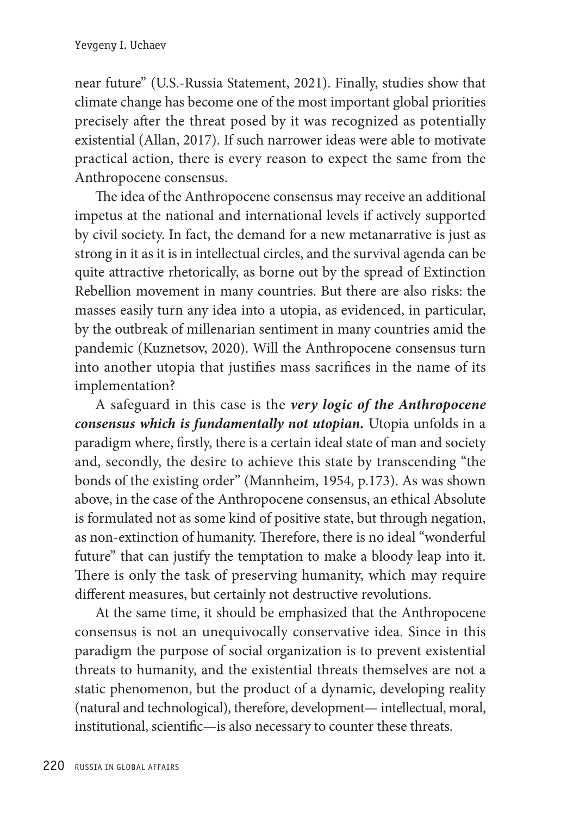near future" (U.S.-Russia Statement, 2021). Finally, studies show that climate change has become one of the most important global priorities precisely after the threat posed by it was recognized as potentially existential (Allan, 2017). If such narrower ideas were able to motivate practical action, there is every reason to expect the same from the Anthropocene consensus.

The idea of the Anthropocene consensus may receive an additional impetus at the national and international levels if actively supported by civil society. In fact, the demand for a new metanarrative is just as strong in it as it is in intellectual circles, and the survival agenda can be quite attractive rhetorically, as borne out by the spread of Extinction Rebellion movement in many countries. But there are also risks: the masses easily turn any idea into a utopia, as evidenced, in particular, by the outbreak of millenarian sentiment in many countries amid the pandemic (Kuznetsov, 2020). Will the Anthropocene consensus turn into another utopia that justifies mass sacrifices in the name of its implementation?

A safeguard in this case is the *very logic of the Anthropocene consensus which is fundamentally not utopian.* Utopia unfolds in a paradigm where, firstly, there is a certain ideal state of man and society and, secondly, the desire to achieve this state by transcending "the bonds of the existing order" (Mannheim, 1954, p.173). As was shown above, in the case of the Anthropocene consensus, an ethical Absolute is formulated not as some kind of positive state, but through negation, as non-extinction of humanity. Therefore, there is no ideal "wonderful future" that can justify the temptation to make a bloody leap into it. There is only the task of preserving humanity, which may require different measures, but certainly not destructive revolutions.

At the same time, it should be emphasized that the Anthropocene consensus is not an unequivocally conservative idea. Since in this paradigm the purpose of social organization is to prevent existential threats to humanity, and the existential threats themselves are not a static phenomenon, but the product of a dynamic, developing reality (natural and technological), therefore, development— intellectual, moral, institutional, scientific—is also necessary to counter these threats.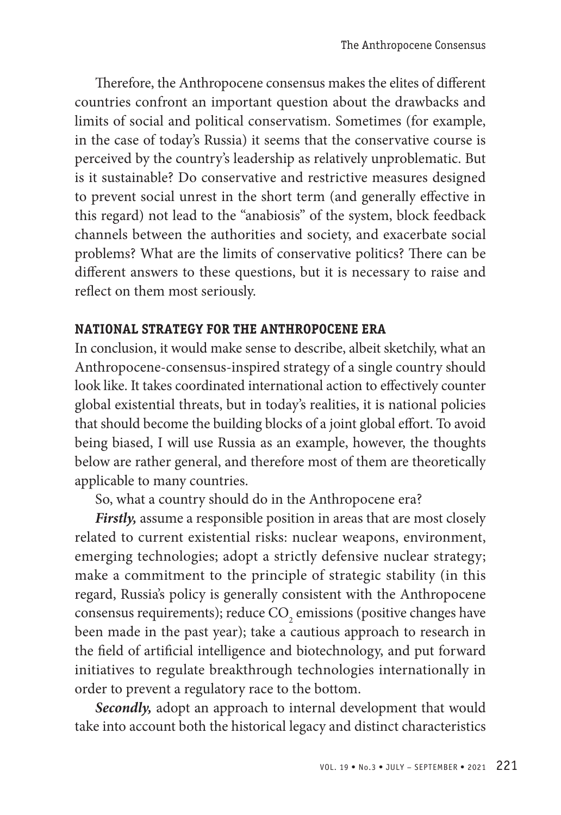Therefore, the Anthropocene consensus makes the elites of different countries confront an important question about the drawbacks and limits of social and political conservatism. Sometimes (for example, in the case of today's Russia) it seems that the conservative course is perceived by the country's leadership as relatively unproblematic. But is it sustainable? Do conservative and restrictive measures designed to prevent social unrest in the short term (and generally effective in this regard) not lead to the "anabiosis" of the system, block feedback channels between the authorities and society, and exacerbate social problems? What are the limits of conservative politics? There can be different answers to these questions, but it is necessary to raise and reflect on them most seriously.

## **NATIONAL STRATEGY FOR THE ANTHROPOCENE ERA**

In conclusion, it would make sense to describe, albeit sketchily, what an Anthropocene-consensus-inspired strategy of a single country should look like. It takes coordinated international action to effectively counter global existential threats, but in today's realities, it is national policies that should become the building blocks of a joint global effort. To avoid being biased, I will use Russia as an example, however, the thoughts below are rather general, and therefore most of them are theoretically applicable to many countries.

So, what a country should do in the Anthropocene era?

*Firstly,* assume a responsible position in areas that are most closely related to current existential risks: nuclear weapons, environment, emerging technologies; adopt a strictly defensive nuclear strategy; make a commitment to the principle of strategic stability (in this regard, Russia's policy is generally consistent with the Anthropocene consensus requirements); reduce  $\mathrm{CO}_2$  emissions (positive changes have been made in the past year); take a cautious approach to research in the field of artificial intelligence and biotechnology, and put forward initiatives to regulate breakthrough technologies internationally in order to prevent a regulatory race to the bottom.

*Secondly,* adopt an approach to internal development that would take into account both the historical legacy and distinct characteristics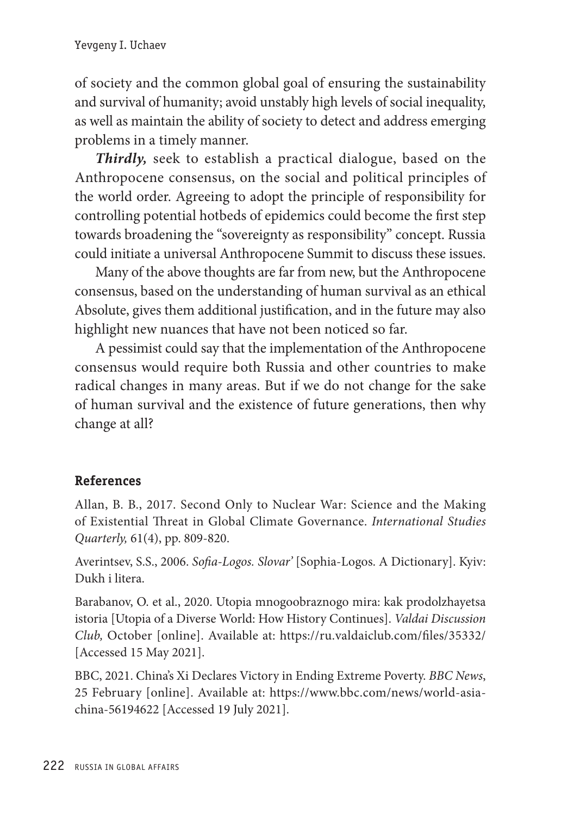of society and the common global goal of ensuring the sustainability and survival of humanity; avoid unstably high levels of social inequality, as well as maintain the ability of society to detect and address emerging problems in a timely manner.

*Thirdly,* seek to establish a practical dialogue, based on the Anthropocene consensus, on the social and political principles of the world order. Agreeing to adopt the principle of responsibility for controlling potential hotbeds of epidemics could become the first step towards broadening the "sovereignty as responsibility" concept. Russia could initiate a universal Anthropocene Summit to discuss these issues.

Many of the above thoughts are far from new, but the Anthropocene consensus, based on the understanding of human survival as an ethical Absolute, gives them additional justification, and in the future may also highlight new nuances that have not been noticed so far.

A pessimist could say that the implementation of the Anthropocene consensus would require both Russia and other countries to make radical changes in many areas. But if we do not change for the sake of human survival and the existence of future generations, then why change at all?

# **References**

Allan, B. B., 2017. Second Only to Nuclear War: Science and the Making of Existential Threat in Global Climate Governance. *International Studies Quarterly,* 61(4), pp. 809-820.

Averintsev, S.S., 2006. *Sofia-Logos. Slovar'* [Sophia-Logos. A Dictionary]. Kyiv: Dukh i litera.

Barabanov, O. et al., 2020. Utopia mnogoobraznogo mira: kak prodolzhayetsa istoria [Utopia of a Diverse World: How History Continues]. *Valdai Discussion Club,* October [online]. Available at: https://ru.valdaiclub.com/files/35332/ [Accessed 15 May 2021].

BBC, 2021. China's Xi Declares Victory in Ending Extreme Poverty. *BBC News*, 25 February [online]. Available at: https://www.bbc.com/news/world-asiachina-56194622 [Accessed 19 July 2021].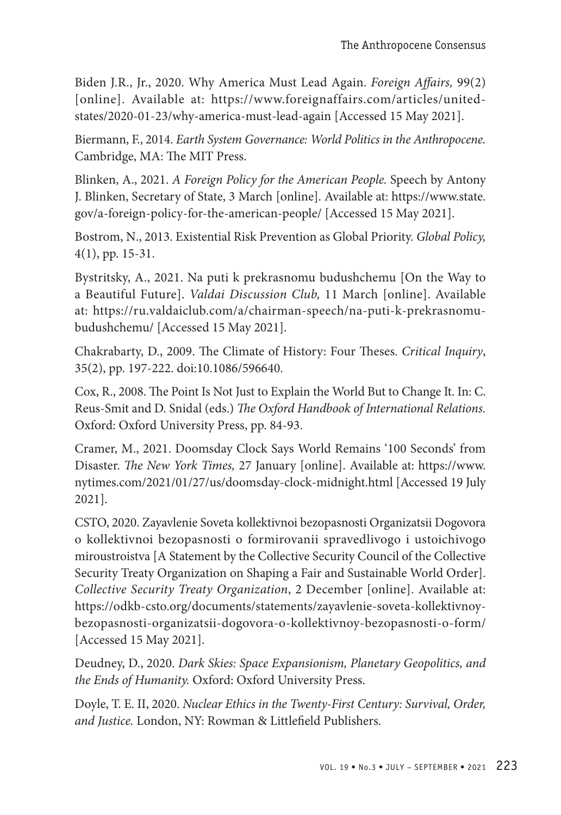Biden J.R., Jr., 2020. Why America Must Lead Again. *Foreign Affairs,* 99(2) [online]. Available at: https://www.foreignaffairs.com/articles/unitedstates/2020-01-23/why-america-must-lead-again [Accessed 15 May 2021].

Biermann, F., 2014. *Earth System Governance: World Politics in the Anthropocene.* Cambridge, MA: The MIT Press.

Blinken, A., 2021. *A Foreign Policy for the American People.* Speech by Antony J. Blinken, Secretary of State, 3 March [online]. Available at: https://www.state. gov/a-foreign-policy-for-the-american-people/ [Accessed 15 May 2021].

Bostrom, N., 2013. Existential Risk Prevention as Global Priority. *Global Policy,* 4(1), pp. 15-31.

Bystritsky, A., 2021. Na puti k prekrasnomu budushchemu [On the Way to a Beautiful Future]. *Valdai Discussion Club,* 11 March [online]. Available at: https://ru.valdaiclub.com/a/chairman-speech/na-puti-k-prekrasnomubudushchemu/ [Accessed 15 May 2021].

Chakrabarty, D., 2009. The Climate of History: Four Theses. *Critical Inquiry*, 35(2), pp. 197-222. doi:10.1086/596640.

Cox, R., 2008. The Point Is Not Just to Explain the World But to Change It. In: C. Reus-Smit and D. Snidal (eds.) *The Oxford Handbook of International Relations.* Oxford: Oxford University Press, pp. 84-93.

Cramer, M., 2021. Doomsday Clock Says World Remains '100 Seconds' from Disaster. *The New York Times,* 27 January [online]. Available at: https://www. nytimes.com/2021/01/27/us/doomsday-clock-midnight.html [Accessed 19 July 2021].

CSTO, 2020. Zayavlenie Soveta kollektivnoi bezopasnosti Organizatsii Dogovora o kollektivnoi bezopasnosti o formirovanii spravedlivogo i ustoichivogo miroustroistva [A Statement by the Collective Security Council of the Collective Security Treaty Organization on Shaping a Fair and Sustainable World Order]. *Collective Security Treaty Organization*, 2 December [online]. Available at: https://odkb-csto.org/documents/statements/zayavlenie-soveta-kollektivnoybezopasnosti-organizatsii-dogovora-o-kollektivnoy-bezopasnosti-o-form/ [Accessed 15 May 2021].

Deudney, D., 2020. *Dark Skies: Space Expansionism, Planetary Geopolitics, and the Ends of Humanity.* Oxford: Oxford University Press.

Doyle, T. E. II, 2020. *Nuclear Ethics in the Twenty-First Century: Survival, Order, and Justice.* London, NY: Rowman & Littlefield Publishers.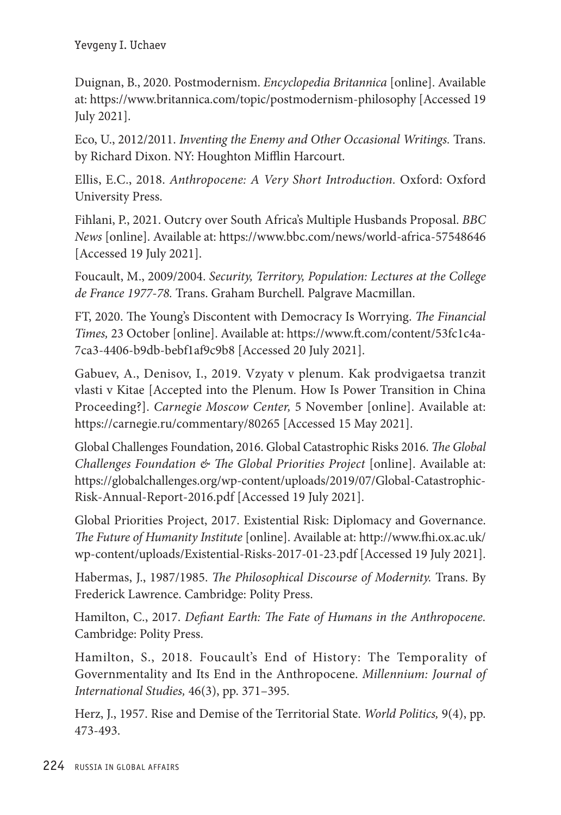Duignan, B., 2020. Postmodernism. *Encyclopedia Britannica* [online]. Available at: https://www.britannica.com/topic/postmodernism-philosophy [Accessed 19 July 2021].

Eco, U., 2012/2011. *Inventing the Enemy and Other Occasional Writings.* Trans. by Richard Dixon. NY: Houghton Mifflin Harcourt.

Ellis, E.C., 2018. *Anthropocene: A Very Short Introduction.* Oxford: Oxford University Press.

Fihlani, P., 2021. Outcry over South Africa's Multiple Husbands Proposal. *BBC News* [online]. Available at: https://www.bbc.com/news/world-africa-57548646 [Accessed 19 July 2021].

Foucault, M., 2009/2004. *Security, Territory, Population: Lectures at the College de France 1977-78.* Trans. Graham Burchell. Palgrave Macmillan.

FT, 2020. The Young's Discontent with Democracy Is Worrying. *The Financial Times,* 23 October [online]. Available at: https://www.ft.com/content/53fc1c4a-7ca3-4406-b9db-bebf1af9c9b8 [Accessed 20 July 2021].

Gabuev, A., Denisov, I., 2019. Vzyaty v plenum. Kak prodvigaetsa tranzit vlasti v Kitae [Accepted into the Plenum. How Is Power Transition in China Proceeding?]. *Carnegie Moscow Center,* 5 November [online]. Available at: https://carnegie.ru/commentary/80265 [Accessed 15 May 2021].

Global Challenges Foundation, 2016. Global Catastrophic Risks 2016. *The Global Challenges Foundation & The Global Priorities Project* [online]. Available at: https://globalchallenges.org/wp-content/uploads/2019/07/Global-Catastrophic-Risk-Annual-Report-2016.pdf [Accessed 19 July 2021].

Global Priorities Project, 2017. Existential Risk: Diplomacy and Governance. *The Future of Humanity Institute* [online]. Available at: http://www.fhi.ox.ac.uk/ wp-content/uploads/Existential-Risks-2017-01-23.pdf [Accessed 19 July 2021].

Habermas, J., 1987/1985. *The Philosophical Discourse of Modernity.* Trans. By Frederick Lawrence. Cambridge: Polity Press.

Hamilton, C., 2017. *Defiant Earth: The Fate of Humans in the Anthropocene.* Cambridge: Polity Press.

Hamilton, S., 2018. Foucault's End of History: The Temporality of Governmentality and Its End in the Anthropocene. *Millennium: Journal of International Studies,* 46(3), pp. 371–395.

Herz, J., 1957. Rise and Demise of the Territorial State. *World Politics,* 9(4), pp. 473-493.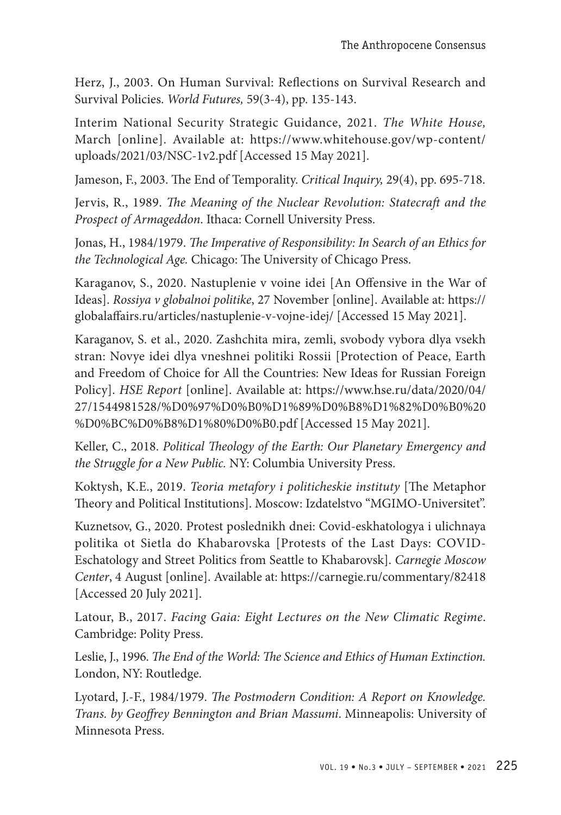Herz, J., 2003. On Human Survival: Reflections on Survival Research and Survival Policies. *World Futures,* 59(3-4), pp. 135-143.

Interim National Security Strategic Guidance, 2021. *The White House,* March [online]. Available at: https://www.whitehouse.gov/wp-content/ uploads/2021/03/NSC-1v2.pdf [Accessed 15 May 2021].

Jameson, F., 2003. The End of Temporality. *Critical Inquiry,* 29(4), pp. 695-718.

Jervis, R., 1989. *The Meaning of the Nuclear Revolution: Statecraft and the Prospect of Armageddon*. Ithaca: Cornell University Press.

Jonas, H., 1984/1979. *The Imperative of Responsibility: In Search of an Ethics for the Technological Age.* Chicago: The University of Chicago Press.

Karaganov, S., 2020. Nastuplenie v voine idei [An Offensive in the War of Ideas]. *Rossiya v globalnoi politike*, 27 November [online]. Available at: https:// globalaffairs.ru/articles/nastuplenie-v-vojne-idej/ [Accessed 15 May 2021].

Karaganov, S. et al., 2020. Zashchita mira, zemli, svobody vybora dlya vsekh stran: Novye idei dlya vneshnei politiki Rossii [Protection of Peace, Earth and Freedom of Choice for All the Countries: New Ideas for Russian Foreign Policy]. *HSE Report* [online]. Available at: https://www.hse.ru/data/2020/04/ 27/1544981528/%D0%97%D0%B0%D1%89%D0%B8%D1%82%D0%B0%20 %D0%BC%D0%B8%D1%80%D0%B0.pdf [Accessed 15 May 2021].

Keller, C., 2018. *Political Theology of the Earth: Our Planetary Emergency and the Struggle for a New Public.* NY: Columbia University Press.

Koktysh, K.E., 2019. *Teoria metafory i politicheskie instituty* [The Metaphor Theory and Political Institutions]. Moscow: Izdatelstvo "MGIMO-Universitet".

Kuznetsov, G., 2020. Protest poslednikh dnei: Covid-eskhatologya i ulichnaya politika ot Sietla do Khabarovska [Protests of the Last Days: COVID-Eschatology and Street Politics from Seattle to Khabarovsk]. *Carnegie Moscow Center*, 4 August [online]. Available at: https://carnegie.ru/commentary/82418 [Accessed 20 July 2021].

Latour, B., 2017. *Facing Gaia: Eight Lectures on the New Climatic Regime*. Cambridge: Polity Press.

Leslie, J., 1996. *The End of the World: The Science and Ethics of Human Extinction.* London, NY: Routledge.

Lyotard, J.-F., 1984/1979. *The Postmodern Condition: A Report on Knowledge. Trans. by Geoffrey Bennington and Brian Massumi*. Minneapolis: University of Minnesota Press.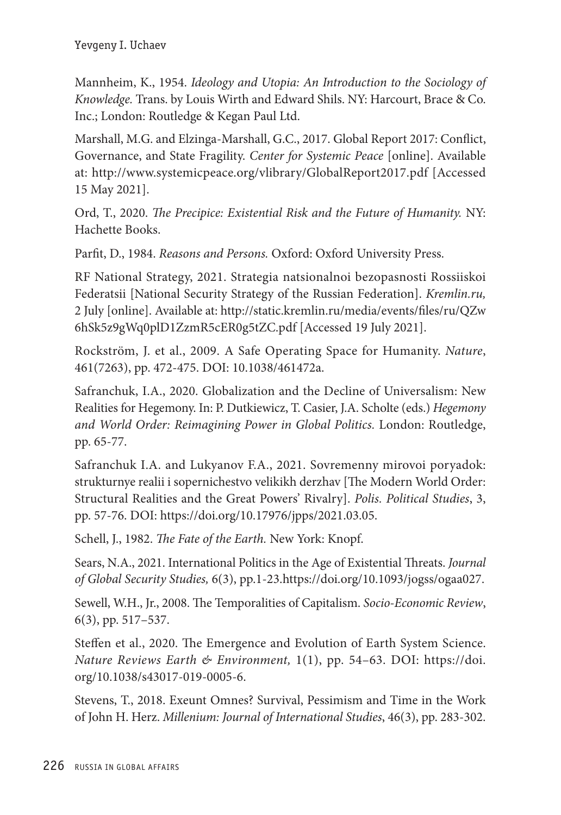Mannheim, K., 1954. *Ideology and Utopia: An Introduction to the Sociology of Knowledge.* Trans. by Louis Wirth and Edward Shils. NY: Harcourt, Brace & Co. Inc.; London: Routledge & Kegan Paul Ltd.

Marshall, M.G. and Elzinga-Marshall, G.C., 2017. Global Report 2017: Conflict, Governance, and State Fragility. *Center for Systemic Peace* [online]. Available at: http://www.systemicpeace.org/vlibrary/GlobalReport2017.pdf [Accessed 15 May 2021].

Ord, T., 2020. *The Precipice: Existential Risk and the Future of Humanity.* NY: Hachette Books.

Parfit, D., 1984. *Reasons and Persons.* Oxford: Oxford University Press.

RF National Strategy, 2021. Strategia natsionalnoi bezopasnosti Rossiiskoi Federatsii [National Security Strategy of the Russian Federation]. *Kremlin.ru,* 2 July [online]. Available at: http://static.kremlin.ru/media/events/files/ru/QZw 6hSk5z9gWq0plD1ZzmR5cER0g5tZC.pdf [Accessed 19 July 2021].

Rockström, J. et al., 2009. A Safe Operating Space for Humanity. *Nature*, 461(7263), pp. 472-475. DOI: 10.1038/461472a.

Safranchuk, I.A., 2020. Globalization and the Decline of Universalism: New Realities for Hegemony. In: P. Dutkiewicz, T. Casier, J.A. Scholte (eds.) *Hegemony and World Order: Reimagining Power in Global Politics.* London: Routledge, pp. 65-77.

Safranchuk I.A. and Lukyanov F.A., 2021. Sovremenny mirovoi poryadok: strukturnye realii i sopernichestvo velikikh derzhav [The Modern World Order: Structural Realities and the Great Powers' Rivalry]. *Polis. Political Studies*, 3, pp. 57-76. DOI: https://doi.org/10.17976/jpps/2021.03.05.

Schell, J., 1982. *The Fate of the Earth.* New York: Knopf.

Sears, N.A., 2021. International Politics in the Age of Existential Threats. *Journal of Global Security Studies,* 6(3), pp.1-23.https://doi.org/10.1093/jogss/ogaa027.

Sewell, W.H., Jr., 2008. The Temporalities of Capitalism. *Socio-Economic Review*, 6(3), pp. 517–537.

Steffen et al., 2020. The Emergence and Evolution of Earth System Science. *Nature Reviews Earth & Environment,* 1(1), pp. 54–63. DOI: https://doi. org/10.1038/s43017-019-0005-6.

Stevens, T., 2018. Exeunt Omnes? Survival, Pessimism and Time in the Work of John H. Herz. *Millenium: Journal of International Studies*, 46(3), pp. 283-302.